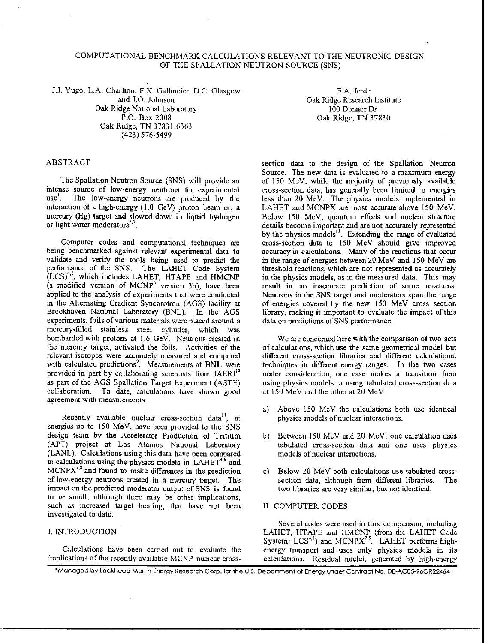# COMPUTATIONAL BENCHMARK CALCULATIONS RELEVANT TO THE NEUTRONIC DESIGN OF THE SPALLATION NEUTRON SOURCE (SNS)

J.J. Yugo, L.A. Charlton. F.X. Gallmeier, D.C. Glasgow and J.O. Johnson Oak Ridge National Laboratory P-0. Box 2008 Oak Ridge, TN 37831.6363 (423) 576.5499

E.A. Jerde Oak Ridge Research Institute 100 Donner Dr. Oak Ridge, TN 37830

## ABSTRACT

The Spallation Neutron Source (SNS) will provide an intense source of low-energy neutrons for experimental use'. The low-energy neutrons are produced by the interaction of a high-energy  $(1.0 \text{ GeV})$  proton beam on a mercury (Hg) target and slowed down in liquid hydrogen or light water moderators $2^2$ .

Computer codes and computational techniques are being benchmarked against relevant experimental data to validate and verify the tools being used to predict the performance of the SNS. The LAHET Code System  $(LCS)^{4,5}$ , which includes LAHET, HTAPE and HMCNP (a modified version of MCNP6 version 3b), have been applied to the analysis of experiments that were conducted in the Alternating Gradient Synchrotron (AGS) facility at Brookhaven National Laboratory (BNL). In the AGS experiments. foils of various materials were placed around a mercury-tilled stainless steel cylinder, which was bombarded with protons at I.6 GeV. Neutrons created in the mercury target, activated the foils. Activities of the relevant isotopes were accurately measured and compared with calculated predictions<sup>9</sup>. Measurements at BNL were provided in part by collaborating scientists from JAERI" as part of the AGS Spallation Target Experiment (ASTE) collaboration. To date, calculations have shown good agreement with measurements.

Recently available nuclear cross-section data", at energies up to 150 MeV, have been provided to the SNS design team by the Accelerator Production of Tritium (APT) project at Los Alamos National Laboratory (LANL). Calculations using this data have been compared to calculations using the physics models in LAHET<sup>4,5</sup> and  $MCNPX^{7,8}$  and found to make differences in the prediction of low-energy neutrons created in a mercury target. The impact on the predicted moderator output of SNS is found to be small, although there may be other implications, such as increased target heating, that have not been investigated to date.

## I. INTRODUCTION

Calculations have been carried out to evaluate the implications of the recently available MCNP nuclear crosssection data to the design of the Spallation Neutron Source. The new data is evaluated to a maximum energy of 150 MeV, while the majority of previously available cross-section data, has generally been limited to energies less than 20 MeV. The physics models implemented in LAHET and MCNPX are most accurate above 150 MeV. Below 150 MeV, quantum effects and nuclear structure details become important and are not accurately represented by the physics models<sup>11</sup>. Extending the range of evaluated cross-section data to I50 MeV should give improved accuracy in calculations. Many of the reactions that occur in the range of energies between 20 MeV and 150 MeV are threshold reactions, which are not represented as accurately in the physics models, as in the measured data. This may result in an inaccurate prediction of some reactions. Neutrons in the SNS target and moderators span the range of energies covered by the new 150 MeV cross section library, making it important to evaluate the impact of this data on predictions of SNS performance.

We are concerned here with the comparison of two sets of calculations, which use the same geometrical model but diffaent cross-section libraries and different calculational techniques in different energy ranges. In the two cases under consideration, one case makes a transition from using physics models to using tabulated cross-section data at 150 MeV and the other at 20 MeV.

- a) Above IS0 MeV the calculations both use identical physics models of nuclear interactions.
- b) Between 150 MeV and 20 MeV, one calculation uses tabulated cross-section data and one uses physics models of nuclear interactions.
- c) Below 20 MeV both calculations use tabulated crosssection data, although from different libraries. The two libraries are very similar, but not identical.
- II. COMPUTER CODES

Several codes were used in this comparison, including LAHET, HTAPE and HMCNP (from the LAHET Code System: LCS"<sup>, 2</sup>) and MCNPX'<sup>\*</sup>. LAHET performs highenergy transport and uses only physics models in its calculations. Residual nuclei, generated by high-energy

\*Managed by Lockheed Martin Energy Research Corp. for the U.S. Department of Energy under Contract No. DE-AC05-96OR22464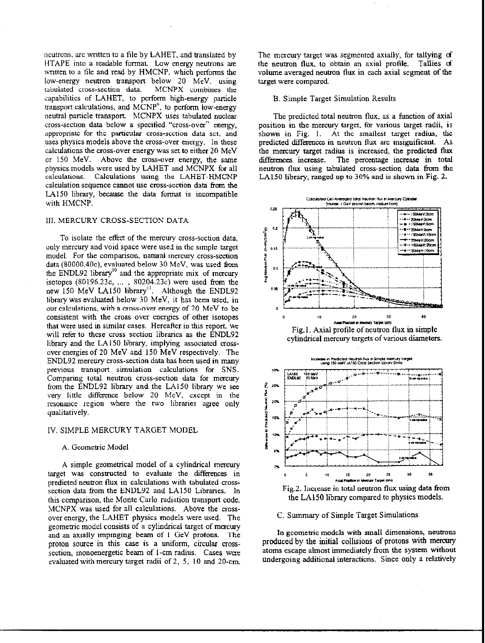neutrons, are written to a file by LAHET, and translated by HTAPE into a readable format. Low energy neutrons are written to a file and read by HMCNP, which performs the low-energy neutron transport below 20 MeV. using tabulated cross-section data. MCNPX combines the capabilities of LAHET, to perform high-energy particle cansport calculations. and MCNP", to perform low-enagy neutral particle transport. MCNPX uses tabulated nuclear cross-section data below a specified "cross-over" energy, appropriate for the particular cross-section data set. and uses physics models above the cross-over energy. In these calculations the cross-over energy was set to either 20 MeV or 150 MeV. Above the cross-over energy, the same physics models were used by LAHET and MCNPX for all calculations. Calculations using the LAHET-HMCNP calculation sequence Cannot use cmss-section data from the LA150 library, because the data format is incompatible with HMCNP.

# III. MERCURY CROSS-SECTION DATA

To isolate the effect of the mercury cross-section data. only mercury and void space were used in the simple target model. For the comparison. natural mercury cross-section data (80000,40c), evaluated below 30 MeV, was used from the ENDL92 library" and the appropriate mix of mercury isotopes  $(80196.23c, \ldots, 80204.23c)$  were used from the new 150 MeV LA150 library". Although the ENDL92 library was evaluated below 30 MeV, it has been used, in our calculations. with a cross-over energy of 20 MeV to be consistent with the cross over energies of other isotopes that were used in similar cases. Hereafter in this report, we will refer to these cross section libraries as the ENDL92 library and the LA150 library, implying associated crossover energies of 20 MeV and 150 MeV respectively. The ENDL92 mercury cross-section data has been used in many previous transport simulation calculations for SNS. Comparing total neutron cross-section data for mercury from the ENDL92 library and the LA150 library we see very little difference below 20 MeV, except in the resonance region where the two libraries agree only qualitatively.

## IV. SIMPLE MERCURY TARGET MODEL

#### A. Geometric Model

A simple geometrical model of a cylindrical mercury target was consrmcted to evaluate the differences in predicted neutron flux in calculations with tabulated crosssection data from the ENDL92 and LA150 Libraries. In this comparison, the Monte Carlo radiation transport code. MCNPX was used for all calculations. Above the erossover energy, the LAHET physics models were used. The geometric model consists of a cylindrical target of mercury and an axially impinging beam of I GeV protons. The proton source in this case is a uniform, circular crosssection, monoenergetic beam of 1-cm radius. Cases were evaluated with mercury target radii of 2, 5, 10 and ZO-cm.

The mercury target was segmented axially, for tallying of the neutron flux. to obtain an axial profile. Tallies d volume averaged neutron flux in each axial segment of the target were compared.

#### B. Simple Target Simulation Results

The predicted total neutron flux. as a function of axial position in the mercury target. for various target radii, is shown in Fig. 1. At the smallest target radius, the predicted difkences in neutron flux are insignificant. As the mercury target radius is increased, the predicted flux differences increase. The percentage increase in total neutron flux using tabulated cross-section data from the LA150 library, ranged up to 30% and is shown in Fig. 2.







In geometric models with small dimensions, neutrons produced by the initial collisions of protons with mercury atoms escape almost immediately from the system without undergoing additional interactions. Since only a relatively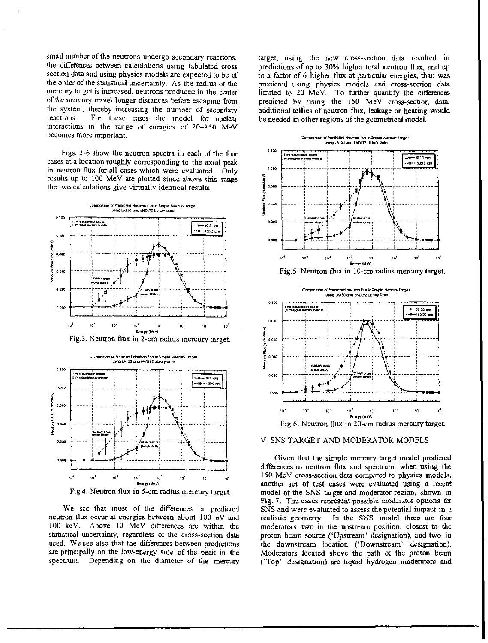small number of the neutrons undergo secondary reactions. the differences between calculations using tabulated cross section data and using physics models are expected to be of the order of the statistical uncertainty. As the radius of the mercury target is increased, neutrons produced in the center of the mercury travel longer distances before escaping from the system. thereby increasing the number of secondary reactions. For these cases the model for nuclear interactions in the range of energies of  $20-150$  MeV becomes more important.

Figs. 3-6 show the neutron spectra in each of the four cases at a location roughly corresponding to the axial peak in neutron flux for all cases which were evaluated. Only results up to 100 MeV are plotted since above this range the two calculations give virtually identical results.







Fig.4. Neutron flux in 5-cm radius mercury target.

We see that most of the differences in predicted neutron flux occur at energies between about 100 eV and 100 keV. Above IO MeV differences are within the statistical uncertainty, regardless of the cross-section data used. We see also that the differences between predictions arc principally on the low-energy side of the peak in the spectrum. Depending on the diameter of the mercury

targeL using the new cross-section data resulted in predictions of up to 30% higher total neutron flux, and up to a factor of 6 higher flux at particular energies, than was predicted using physics models and cross-section data limited to 20 MeV. To further quantify the differences predicted by using the I50 MeV cross-section data, additional tallies of neutron flux, leakage or heating would be needed in other regions of the geometrical model.



Fig.5. Neutron flux in 10-cm radius mercury target.





Given that the simple mercury target model predicted differences in neutron flux and spectrum, when using the 150 MeV cross-section data compared to physics models, another set of test cases were evaluated using a recent model of the SNS target and moderator region, shown in Fig. 7. The cases represent possible moderator options for SNS and were evaluated to assess the potential impact in a realistic geometry. In the SNS model there are four moderators, two in the upstream position, closest to the proton beam source ('Upstream' designation), and two in the downstream location ('Downstream' designation). Moderators located above the path of the proton beam ('Top' designation) are liquid hydrogen moderators and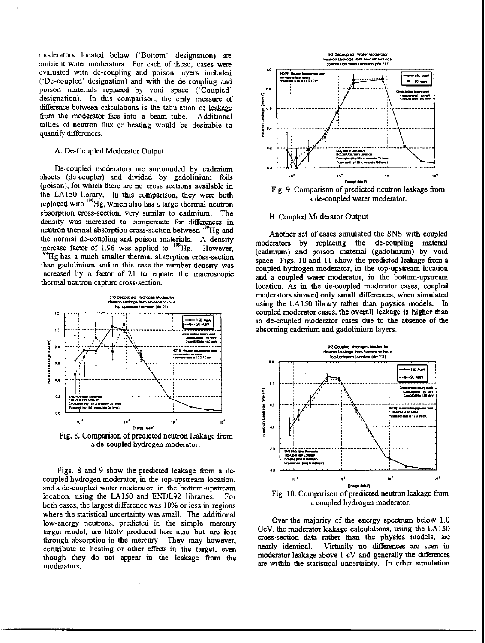moderators located below ('Bottom' designation) are ambient water moderators. For each of these, cases were evaluated with de-coupling and poison layers included ('De-coupled' designation) and with the de-coupling and poison materials replaced by void space ('Coupled' designation). In this comparison. the only measure of difference between calculations is the tabulation of leakage from the moderator face into a beam tube. Additional tallies of neutron flux or heating would be desirable to quantify differences.

## A. De-Coupled Moderator Output

De-coupled moderators are surrounded by cadmium sheets (de-coupler) and divided by gadolinium foils (poison), for which there are no cross sections available in the LA150 library. In this comparison, they were both replaced with <sup>199</sup>Hg, which also has a large thermal neutron absorption cross-section, very similar to cadmium. The density was increased to compensate for differences in neutron thermal absorption cross-section between <sup>199</sup>Hg and the normal de-coupling and poison materials. A density increase factor of 1.96 was applied to  $\mathrm{^{139}Hg}$ . Howeve <sup>199</sup>Hg has a much smaller thermal absorption cross-section than gadolinium and in this case the number density was increased by a factor of 21 to equate the macroscopic thermal neutron capture cross-section.



Fig. 8. Comparison of predicted neutron leakage from a de-coupled hydrogen moderator.

Figs. 8 and 9 show the predicted leakage from a decoupled hydrogen moderator, in the top-upstream location, and a de-coupled water moderator, in the bottom-upstream location, using the LA150 and ENDL92 libraries. For both cases, the largest difference was 10% or less in regious where the statistical uncertainty was small. The additional low-energy neutrons, predicted in the simple mercury target model, are likely produced here also but are lost through absorption in the mercury. They may however, contribute to heating or other effects in the target, even though they do not appear in the leakage from the moderators.



Fig. 9. Comparison of predicted neutron leakage from a de-coupled water moderator.

### B. Coupled Moderator Output

Another set of cases simulated the SNS with coupled moderators by replacing the de-coupling material (cadmium) and poison material (gadolinium) by void space. Figs. 10 and 11 show the predicted leakage from a coupled hydrogen moderator, in the top-upstream locatiou and a coupled water moderator, in the bottom-upstream location. As in the de-coupled moderator cases, coupled moderators showed only small differences, when simulated using the LA150 library rather than physics models. In coupled moderator cases, the overall leakage is higher than in de-coupled moderator cases due to the absence of the absorbing cadmium and gadolinium layers.



Over the majority of the energy spectrum below 1.0 GeV, the moderator leakage calculations, using the LA150 cross-section data rather than the physics models, arc nearly identical. Virtually no differences are seen in moderator leakage above  $1$  eV and generally the differences are within the statistical uncertainty. In other simulation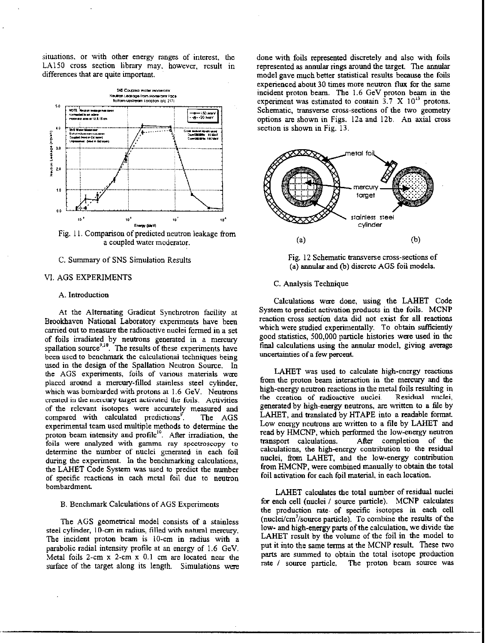situations, or with other energy ranges of interesr, the LA150 cross section library may. however, result in differences that are quite important.





## C. Summary of SNS Simulation Results

## VI. AGS EXPERIMENTS

### A. Introduction

At the Alternating Gradient Synchrotron facility at Brookhaven National Laboratory experiments have been carried out to measure the radioactive nuclei formed in a set of foils irradiated by neutrons generated in a macury spailation source<sup>-...</sup>. The results of these experiments have been used to benchmark the calculational techniques being used in the design of the Spallation Neutron Source. In the AGS experiments, foils of various materials were placed around a mercury-filled stainless steel cylinder, which was bombarded with protons at 1.6 GeV. Neutrons created in the mercmy target activated the foils. Activities of the relevant isotopes were accurately measured and of the relevant isotopes were accurately measured and<br>compared with calculated predictions<sup>9</sup>. The AGS experimenral team used multiple methods to determine the proton beam intensity and profile<sup>10</sup>. After irradiation, the foils were analyzed with gamma ray spectroscopy to determine the number of nuclei generated in each foil during the experiment. In the benchmarking calculations, the LAHET Code System was used to predict the number of specific reactions in each metal foil due to neutron bombardment.

## B. Benchmark Calculations of AGS Experiments

The AGS geometrical model consists of a stainless steel cylinder, IO-cm in radius, tilled with natural mercury. The incident proton beam is 10-cm in radius with a parabolic radial intensity profile at an energy of 1.6 GeV. Metal foils  $2$ -cm  $x$   $2$ -cm  $x$   $0.1$  cm are located near the surface of the target along its length. Simulations were

done with foils represented discretely and also with foils represented as annular rings around the target. The annular model gave much better statistical results because the foils experienced about 30 times more neutron flux for the same incident proton beam. The 1.6 GeV proton beam in the experiment was estimated to contain  $3.7 \times 10^{13}$  protons. Schematic, transverse cross-sections of the two geometry options are shown in Figs. 12a and 12b. An axial cross section is shown in Fig.  $13$ .



Fig. 12 Schematic transverse cross-sections of (a) annular and (b) discrete AGS foil models.

#### C. Analysis Technique

Calculations were done. using the LAHET Code System to predict activation products in the foils. MCNP reaction cross section data did not exist for all reactions which were studied experimentally. To obtain sufficiently good statistics, 500,000 particle histories were used in the final calculations using the annular model, giving average uncertainties of a few percent.

LAHET was used to calculate high-energy reactions from the proton beam interaction in the mercury and the high-energy neutron reactions in the metal foils resulting in<br>the creation of radioactive nuclei. Residual nuclei. the creation of radioactive nuclei. generated by high-energy neutrons, are written to a tile by LAHET, and translated by HTAPE into a readable format Low energy neutrons are written to a file by LAHET and read by HMCNP, which performed the low-energy neutron<br>transport calculations. After completion of the After completion of the calculations, the high-energy contribution to the residual nuclei, from LAHET, and the low-energy contribution from HMCNP, were combined manually to obtain the total foil activation for each foil material, in each location.

LAHET calculates the total number of residual nuclei for each cell (nuclei / source particle). MCNP calculates the production rate. of specific isotopes in each cell  $(nuclei/cm<sup>3</sup>/source$  particle). To combine the results of the low- and high-energy parts of the calculation, we divide the LAHET result by the volume of the foil in the model to put it into the same terms at the MCNP result. These two parts are summed to obtain the total isotope production rate / source particle. The proton beam source was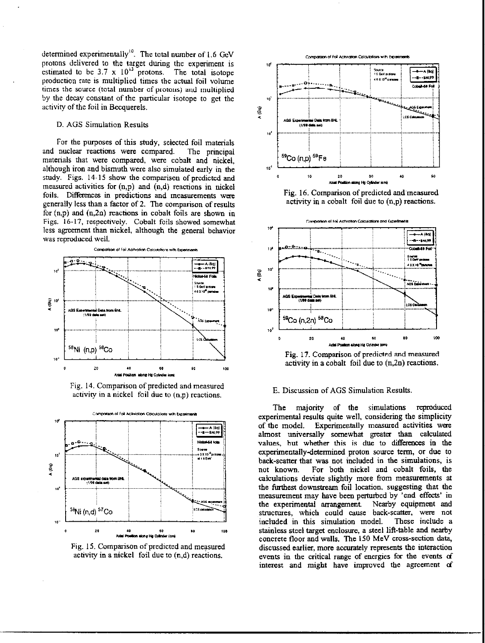determined experimentally<sup>10</sup>. The total number of 1.6 GeV protons delivered to the target during the experiment is  $\mathbf{I}$ estimated to be  $3.7 \times 10^{13}$  protons. The total isotope production rate is multiplied times the actual foil volume times the source (total number of protons) and multiplied by the decay constant of the particular isotope to get the  $\frac{1}{\sqrt{2}}$ activity of the foil in Becquerels.

## D. AGS Simulation Results

For the purposes of this study, selected foil materials and nuclear reactions were compared. The principal matenals that were compared. were cobalt and nickel, although iron and bismuth were also simulated early in the study. Figs. 14-15 show the comparison of predicted and measured activities for (n,p) and (n,d) reactions in nickel foils. Differences in predictions and measurements were generally less than a factor of 2. The comparison of results for  $(n,p)$  and  $(n,2n)$  reactions in cobalt foils are shown in Figs. 16-17, respectively. Cobalt foils showed somewhat less agreement than nickel, although the general behavior was reproduced well.



Fig. 14. Comparison of predicted and measured activity in a nickel foil due to  $(n,p)$  reactions.



Fig. 15. Comparison of predicted and measured activity in a nickel foil due to  $(n,d)$  reactions.







Fig. 17. Comparison of predicted and measured activity in a cobalt foil due to (n,2n) reactions.

## E. Discussion of AGS Simulation Results

The majority of the simulations reproduced experimental results quite well, considering the simplicity of the model. Experimentally measured activities were almost universally somewhat greater than calculated values, but whether this is due to differences in the experimentally-determined proton source term, or due to hack-scatter that was not included in the simulations, is not known. For both nickel and cobalt foils, the calculations deviate slightly more from measurements at the furthest downstream foil location, suggesting that the measurement may have been perturbed by 'cud effects' in the experimental arrangement. Nearby equipment and structures, which could cause back-scatter, were not included in this simulation model. These include a stainless steel target enclosure, a steel lift-table and nearby concrete floor and walls. The 150 MeV cross-section data, discussed earlier, more accurately represents the interaction events in the critical range of energies for the events of interest and might have improved the agreement d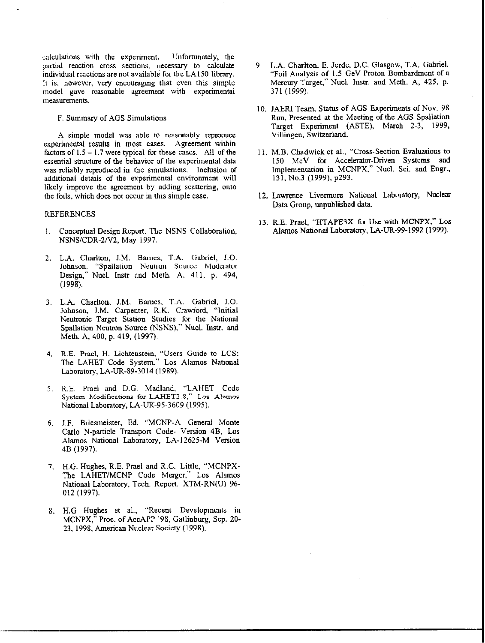calculations with the experiment. Unfortunately, the partial reaction cross sections. necessary to calculate individual reactions are not available for the LA150 library. It is. however, very encouraging that even this simple model gave reasonable agreement with experimental measurements.

F. Summary of AGS Simulations

A simple model was able to reasonably reproduce experimental results in most cases. Agreement within factors of  $1.5 - 1.7$  were typical for these cases. All of the essential structure of the behavior of the experimental data was reliably reproduced in the simulations. Inclusion of additional details of the experimental enviroument will likely improve the agreement by adding scattering, onto the foils, which does not occur in this simple case.

#### REFERENCES

- I. Conceptual Design Report. The NSNS Collaboration. NSNSICDR-2N2, May 1997.
- 2. L.A. Charlton, J.M. Barnes, T.A. Gabriel, J.O. Johnson, "Spallation Neutron Source Moderator Design," Nucl. Instr and Meth. A, 411, p. 494, (1998).
- 3. L.A. Charlton, J.M. Barnes, T.A. Gabriel, J.O. Johnson, J.M. Carpenter, R.K. Crawford, "Initial Neutmnic Target Station Studies for the National Spallation Neutron Source (NSNS)," Nucl. Instr. and Meth. A, 400, p. 419, (1997).
- 4. R.E. Prael, H. Lichtenstein. "Users Guide to LCS: The LAHET Code System." Los Alamos National Laboratory, LA-UR-X9-3014 (1989).
- 5. R.E. Prael and D.G. Madland. "LAHET Code System Modifications for LAHET2.S." Los Alamos National Laboratory, LA-UR-95-3609 (1995).
- 6. J.F. Briesmeister, Ed. "MCNP-A General Monte Carlo N-particle Transpon Code- Version 48, Los Alamos National Laboratory, LA-12625-M Version 4B (1997).
- 7. H.G. Hughes, R.E. Prael and R.C. Little, "MCNPX-The LAHET/MCNP Code Merger," Los Alamos National Laboratory, Tech. Report. XTM-RN(U) 96-012 (1997).
- 8. H.G Hughes et al., "Recent Developments in MCNPX," Proc. of AccAPP '98, Gatlinburg, Sep. 20. 23, 1998, American Nuclear Society (1998).
- 9. L.A. Charlton, E. Jerde, D.C. Glasgow, T.A. Gabriel. "Fail Analysis of 1 .S GeV Proton Bombardment of a Mercury Target," Nucl. Instr. and Meth. A, 425, p. 371 (1999).
- IO. JAERJ Team. Status of AGS Experiments of Nov. 98 Run, Presented at the Meeting of the AGS Spallatiou Target Experiment (ASTE), March 2-3, 1999, Villingen, Switzerland.
- 11. M.B. Chadwick et al., "Cross-Section Evaluations to 150 MeV for Accelerator-Driven Systems and Implementation in MCNPX," Nucl. Sci, and Engr., 131, No.3 (1999), p293.
- 12. Lawrence Livermore National Laboratory, Nuclear Data Group, unpublished data
- 13. R.E. Prael, "HTAPE3X for Use with MCNPX," Los Alamos National Laboratory, LA-UR-99-1992 (1999).